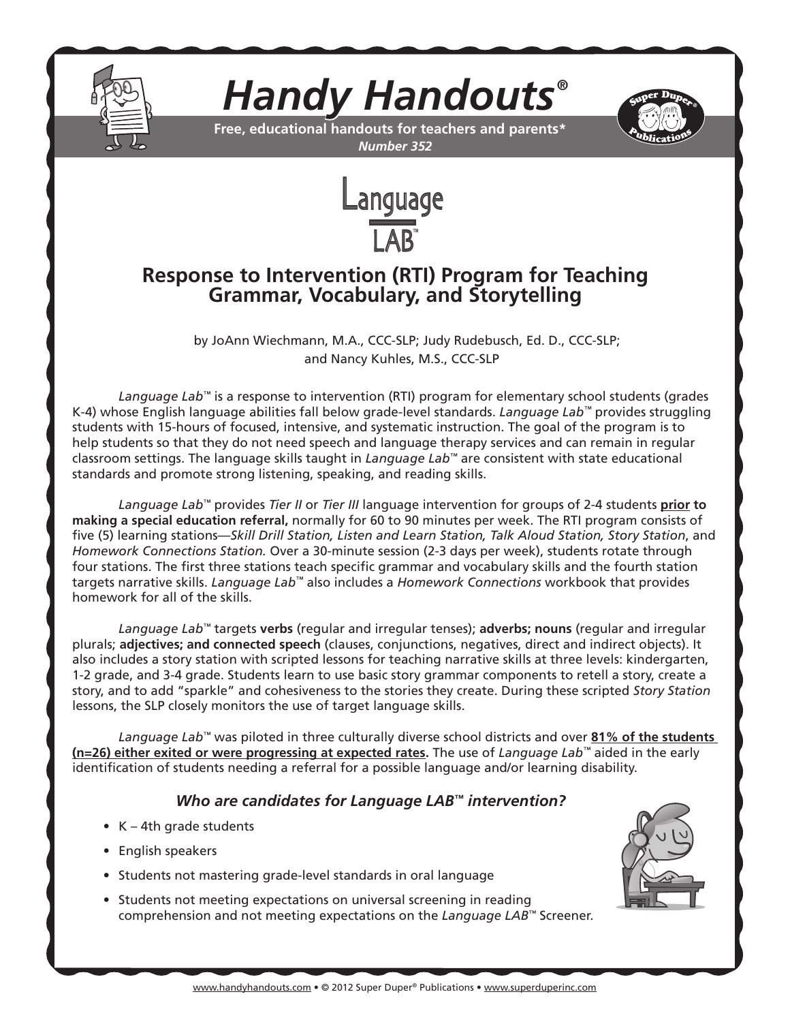

*Handy Handouts®*



**Free, educational handouts for teachers and parents\*** *Number 352*



# **Response to Intervention (RTI) Program for Teaching Grammar, Vocabulary, and Storytelling**

 by JoAnn Wiechmann, M.A., CCC-SLP; Judy Rudebusch, Ed. D., CCC-SLP; and Nancy Kuhles, M.S., CCC-SLP

*Language Lab™* is a response to intervention (RTI) program for elementary school students (grades K-4) whose English language abilities fall below grade-level standards. *Language Lab™* provides struggling students with 15-hours of focused, intensive, and systematic instruction. The goal of the program is to help students so that they do not need speech and language therapy services and can remain in regular classroom settings. The language skills taught in *Language Lab™* are consistent with state educational standards and promote strong listening, speaking, and reading skills.

*Language Lab™* provides *Tier II* or *Tier III* language intervention for groups of 2-4 students **prior to making a special education referral,** normally for 60 to 90 minutes per week. The RTI program consists of five (5) learning stations—*Skill Drill Station, Listen and Learn Station, Talk Aloud Station, Story Station*, and *Homework Connections Station.* Over a 30-minute session (2-3 days per week), students rotate through four stations. The first three stations teach specific grammar and vocabulary skills and the fourth station targets narrative skills. *Language Lab™* also includes a *Homework Connections* workbook that provides homework for all of the skills.

*Language Lab™* targets **verbs** (regular and irregular tenses); **adverbs; nouns** (regular and irregular plurals; **adjectives; and connected speech** (clauses, conjunctions, negatives, direct and indirect objects). It also includes a story station with scripted lessons for teaching narrative skills at three levels: kindergarten, 1-2 grade, and 3-4 grade. Students learn to use basic story grammar components to retell a story, create a story, and to add "sparkle" and cohesiveness to the stories they create. During these scripted *Story Station*  lessons, the SLP closely monitors the use of target language skills.

*Language Lab™* was piloted in three culturally diverse school districts and over **81% of the students (n=26) either exited or were progressing at expected rates.** The use of *Language Lab™* aided in the early identification of students needing a referral for a possible language and/or learning disability.

# *Who are candidates for Language LAB™ intervention?*

- $K 4$ th grade students
- English speakers
- Students not mastering grade-level standards in oral language
- Students not meeting expectations on universal screening in reading comprehension and not meeting expectations on the *Language LAB™* Screener.